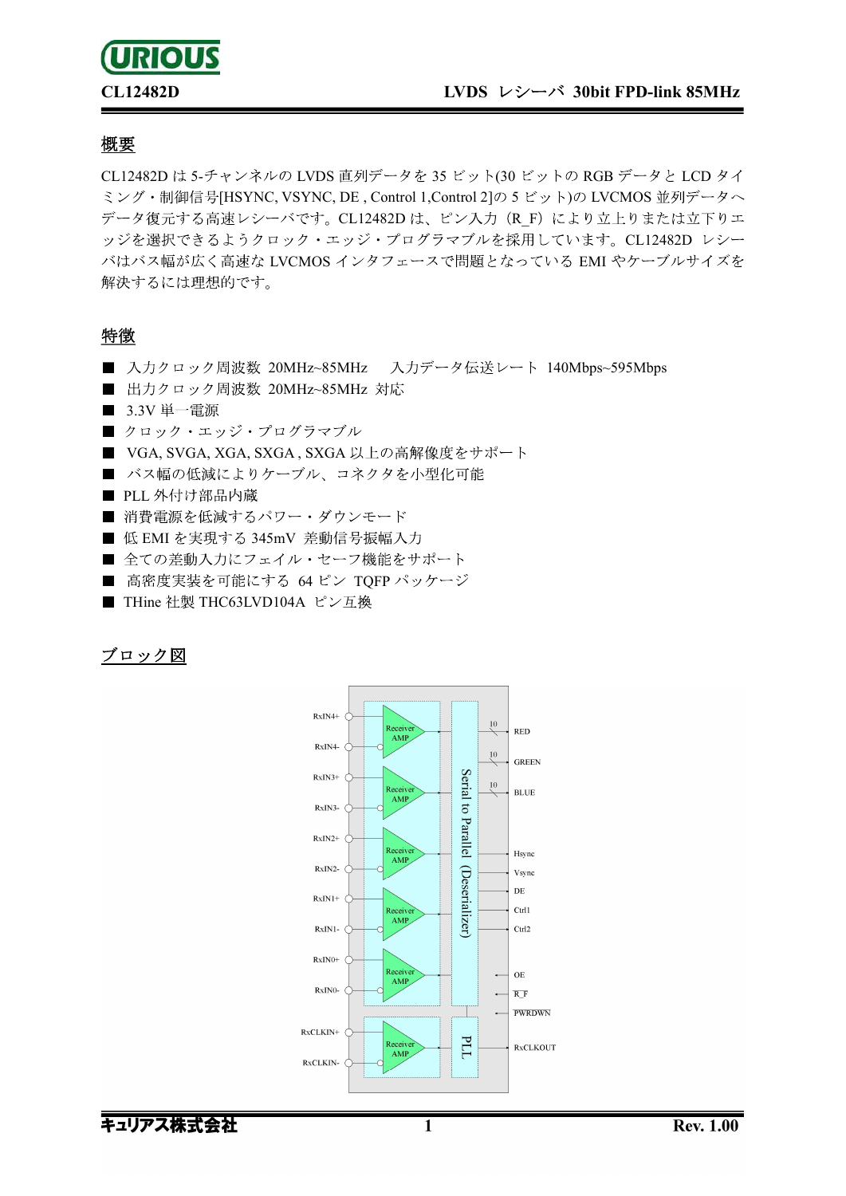

#### 概要

CL12482D は 5-チャンネルの LVDS 直列データを 35 ビット(30 ビットの RGB データと LCD タイ ミング・制御信号[HSYNC, VSYNC, DE, Control 1,Control 2]の 5 ビット)の LVCMOS 並列データへ データ復元する高速レシーバです。CL12482Dは、ピン入力 (R F) により立上りまたは立下りエ ッジを選択できるようクロック・エッジ・プログラマブルを採用しています。CL12482D レシー バはバス幅が広く高速な LVCMOS インタフェースで問題となっている EMI やケーブルサイズを 解決するには理想的です。

#### 特徴

- 入力クロック周波数 20MHz~85MHz 入力データ伝送レート 140Mbps~595Mbps
- 出力クロック周波数 20MHz~85MHz 対応
- 3.3V 単一電源
- クロック・エッジ・プログラマブル
- VGA, SVGA, XGA, SXGA, SXGA 以上の高解像度をサポート
- バス幅の低減によりケーブル、コネクタを小型化可能
- PLL 外付け部品内蔵
- 消費電源を低減するパワー・ダウンモード
- 低 EMI を実現する 345mV 差動信号振幅入力
- 全ての差動入力にフェイル・セーフ機能をサポート
- 高密度実装を可能にする 64 ピン TOFP パッケージ
- THine 社製 THC63LVD104A ピン互換

### ブロック図

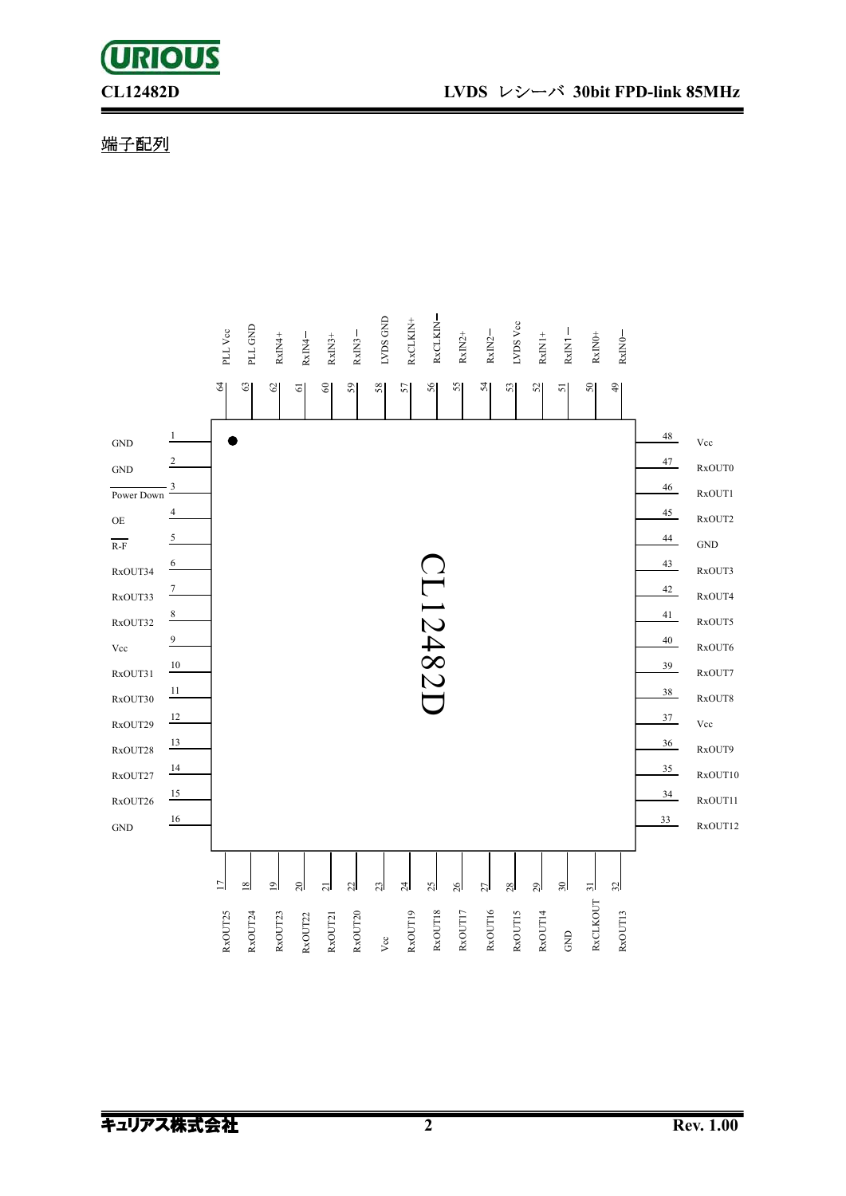## 端子配列